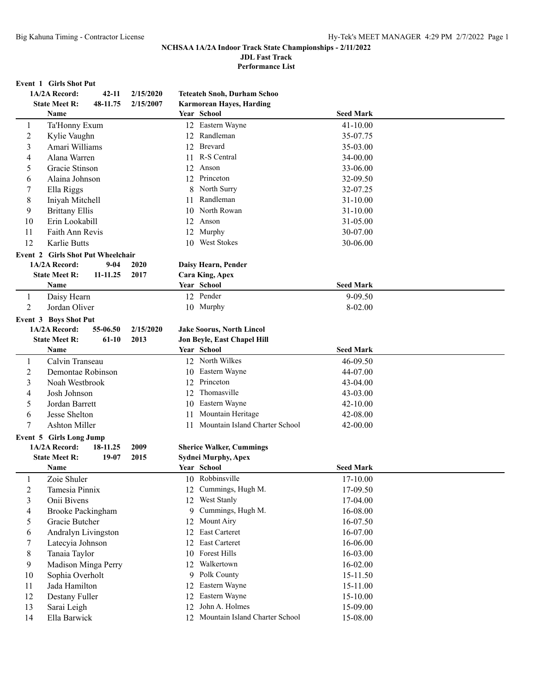**JDL Fast Track**

**Performance List**

# **Event 1 Girls Shot Put**<br>14/24 Record:

|                | EVENt 1 GIFIS SHOL FUL                   |           |    |                                    |                  |  |
|----------------|------------------------------------------|-----------|----|------------------------------------|------------------|--|
|                | 1A/2A Record:<br>$42 - 11$               | 2/15/2020 |    | <b>Teteateh Snoh, Durham Schoo</b> |                  |  |
|                | <b>State Meet R:</b><br>48-11.75         | 2/15/2007 |    | <b>Karmorean Hayes, Harding</b>    |                  |  |
|                | <b>Name</b>                              |           |    | Year School                        | <b>Seed Mark</b> |  |
| 1              | Ta'Honny Exum                            |           |    | 12 Eastern Wayne                   | $41 - 10.00$     |  |
| $\overline{c}$ | Kylie Vaughn                             |           |    | 12 Randleman                       | 35-07.75         |  |
| 3              | Amari Williams                           |           |    | 12 Brevard                         | 35-03.00         |  |
| 4              | Alana Warren                             |           | 11 | R-S Central                        | 34-00.00         |  |
| 5              | Gracie Stinson                           |           | 12 | Anson                              | 33-06.00         |  |
| 6              | Alaina Johnson                           |           |    | 12 Princeton                       | 32-09.50         |  |
| 7              | Ella Riggs                               |           | 8  | North Surry                        | 32-07.25         |  |
| $\,8\,$        | Iniyah Mitchell                          |           | 11 | Randleman                          | 31-10.00         |  |
| 9              | <b>Brittany Ellis</b>                    |           | 10 | North Rowan                        | 31-10.00         |  |
| 10             | Erin Lookabill                           |           | 12 | Anson                              | 31-05.00         |  |
| 11             | Faith Ann Revis                          |           | 12 | Murphy                             | 30-07.00         |  |
| 12             | Karlie Butts                             |           | 10 | <b>West Stokes</b>                 | 30-06.00         |  |
|                | <b>Event 2 Girls Shot Put Wheelchair</b> |           |    |                                    |                  |  |
|                | 1A/2A Record:<br>$9 - 04$                | 2020      |    | Daisy Hearn, Pender                |                  |  |
|                | <b>State Meet R:</b><br>11-11.25         | 2017      |    | <b>Cara King, Apex</b>             |                  |  |
|                | Name                                     |           |    | Year School                        | <b>Seed Mark</b> |  |
| $\mathbf{1}$   | Daisy Hearn                              |           |    | 12 Pender                          | 9-09.50          |  |
| 2              | Jordan Oliver                            |           |    | 10 Murphy                          | 8-02.00          |  |
|                | <b>Event 3 Boys Shot Put</b>             |           |    |                                    |                  |  |
|                | 1A/2A Record:<br>55-06.50                | 2/15/2020 |    | <b>Jake Soorus, North Lincol</b>   |                  |  |
|                | <b>State Meet R:</b><br>$61-10$          | 2013      |    | Jon Beyle, East Chapel Hill        |                  |  |
|                | <b>Name</b>                              |           |    | Year School                        | <b>Seed Mark</b> |  |
| 1              | Calvin Transeau                          |           |    | 12 North Wilkes                    | 46-09.50         |  |
| 2              | Demontae Robinson                        |           |    | 10 Eastern Wayne                   | 44-07.00         |  |
| 3              | Noah Westbrook                           |           |    | 12 Princeton                       | 43-04.00         |  |
| 4              | Josh Johnson                             |           |    | 12 Thomasville                     | 43-03.00         |  |
| 5              | Jordan Barrett                           |           | 10 | Eastern Wayne                      | 42-10.00         |  |
| 6              | Jesse Shelton                            |           | 11 | Mountain Heritage                  | 42-08.00         |  |
| 7              | <b>Ashton Miller</b>                     |           |    | 11 Mountain Island Charter School  | 42-00.00         |  |
|                | Event 5 Girls Long Jump                  |           |    |                                    |                  |  |
|                | 1A/2A Record:<br>18-11.25                | 2009      |    | <b>Sherice Walker, Cummings</b>    |                  |  |
|                | <b>State Meet R:</b><br>19-07            | 2015      |    | <b>Sydnei Murphy, Apex</b>         |                  |  |
|                | Name                                     |           |    | Year School                        | <b>Seed Mark</b> |  |
| 1              | Zoie Shuler                              |           |    | 10 Robbinsville                    | 17-10.00         |  |
| 2              | Tamesia Pinnix                           |           | 12 | Cummings, Hugh M.                  | 17-09.50         |  |
| 3              | Onii Bivens                              |           |    | 12 West Stanly                     | 17-04.00         |  |
| 4              | <b>Brooke Packingham</b>                 |           | 9  | Cummings, Hugh M.                  | 16-08.00         |  |
| 5              | Gracie Butcher                           |           | 12 | Mount Airy                         | 16-07.50         |  |
| 6              | Andralyn Livingston                      |           | 12 | East Carteret                      | 16-07.00         |  |
| 7              | Latecyia Johnson                         |           | 12 | East Carteret                      | 16-06.00         |  |
| 8              | Tanaia Taylor                            |           | 10 | Forest Hills                       | 16-03.00         |  |
| 9              | Madison Minga Perry                      |           | 12 | Walkertown                         | 16-02.00         |  |
| 10             | Sophia Overholt                          |           | 9  | Polk County                        | 15-11.50         |  |
| 11             | Jada Hamilton                            |           | 12 | Eastern Wayne                      | 15-11.00         |  |
|                |                                          |           |    | Eastern Wayne                      |                  |  |
| 12             | Destany Fuller                           |           | 12 | John A. Holmes                     | 15-10.00         |  |
| 13             | Sarai Leigh                              |           | 12 |                                    | 15-09.00         |  |
| 14             | Ella Barwick                             |           | 12 | Mountain Island Charter School     | 15-08.00         |  |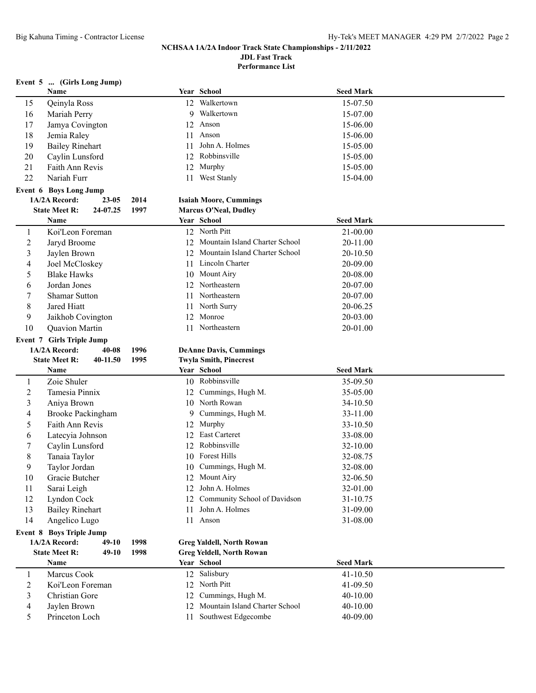**Performance List**

**Event 5 ... (Girls Long Jump)**

|                | Name                                             |           |      |    | Year School                                              | <b>Seed Mark</b> |  |
|----------------|--------------------------------------------------|-----------|------|----|----------------------------------------------------------|------------------|--|
| 15             | Qeinyla Ross                                     |           |      |    | 12 Walkertown                                            | 15-07.50         |  |
| 16             | Mariah Perry                                     |           |      |    | 9 Walkertown                                             | 15-07.00         |  |
| 17             | Jamya Covington                                  |           |      |    | 12 Anson                                                 | 15-06.00         |  |
| 18             | Jemia Raley                                      |           |      | 11 | Anson                                                    | 15-06.00         |  |
| 19             | <b>Bailey Rinehart</b>                           |           |      | 11 | John A. Holmes                                           | 15-05.00         |  |
| 20             | Caylin Lunsford                                  |           |      |    | 12 Robbinsville                                          | 15-05.00         |  |
| 21             | Faith Ann Revis                                  |           |      |    | 12 Murphy                                                | 15-05.00         |  |
| 22             | Nariah Furr                                      |           |      |    | 11 West Stanly                                           | 15-04.00         |  |
|                | <b>Event 6 Boys Long Jump</b>                    |           |      |    |                                                          |                  |  |
|                | 1A/2A Record:                                    | $23 - 05$ | 2014 |    | <b>Isaiah Moore, Cummings</b>                            |                  |  |
|                | <b>State Meet R:</b>                             | 24-07.25  | 1997 |    | <b>Marcus O'Neal, Dudley</b>                             |                  |  |
|                | Name                                             |           |      |    | Year School                                              | <b>Seed Mark</b> |  |
| 1              | Koi'Leon Foreman                                 |           |      |    | 12 North Pitt                                            | 21-00.00         |  |
| $\overline{c}$ | Jaryd Broome                                     |           |      |    | 12 Mountain Island Charter School                        | 20-11.00         |  |
| 3              | Jaylen Brown                                     |           |      | 12 | Mountain Island Charter School                           | 20-10.50         |  |
| 4              | Joel McCloskey                                   |           |      | 11 | Lincoln Charter                                          | 20-09.00         |  |
| 5              | <b>Blake Hawks</b>                               |           |      |    | 10 Mount Airy                                            | 20-08.00         |  |
| 6              | Jordan Jones                                     |           |      | 12 | Northeastern                                             | 20-07.00         |  |
| 7              | <b>Shamar Sutton</b>                             |           |      | 11 | Northeastern                                             | 20-07.00         |  |
| 8              | Jared Hiatt                                      |           |      | 11 | North Surry                                              | 20-06.25         |  |
| 9              | Jaikhob Covington                                |           |      |    | 12 Monroe                                                | 20-03.00         |  |
| 10             | Quavion Martin                                   |           |      |    | 11 Northeastern                                          | 20-01.00         |  |
|                | <b>Event 7 Girls Triple Jump</b>                 |           |      |    |                                                          |                  |  |
|                | 1A/2A Record:                                    | $40 - 08$ | 1996 |    | <b>DeAnne Davis, Cummings</b>                            |                  |  |
|                |                                                  |           |      |    |                                                          |                  |  |
|                | <b>State Meet R:</b>                             | 40-11.50  | 1995 |    | <b>Twyla Smith, Pinecrest</b>                            |                  |  |
|                | Name                                             |           |      |    | Year School                                              | <b>Seed Mark</b> |  |
| $\mathbf{1}$   | Zoie Shuler                                      |           |      |    | 10 Robbinsville                                          | 35-09.50         |  |
| $\overline{2}$ | Tamesia Pinnix                                   |           |      |    | 12 Cummings, Hugh M.                                     | 35-05.00         |  |
| 3              | Aniya Brown                                      |           |      |    | 10 North Rowan                                           | 34-10.50         |  |
| 4              | <b>Brooke Packingham</b>                         |           |      | 9. | Cummings, Hugh M.                                        | 33-11.00         |  |
| 5              | Faith Ann Revis                                  |           |      |    | 12 Murphy                                                | 33-10.50         |  |
| 6              | Latecyia Johnson                                 |           |      |    | 12 East Carteret                                         | 33-08.00         |  |
| 7              | Caylin Lunsford                                  |           |      |    | 12 Robbinsville                                          | 32-10.00         |  |
| 8              | Tanaia Taylor                                    |           |      |    | 10 Forest Hills                                          | 32-08.75         |  |
| 9              | Taylor Jordan                                    |           |      |    | 10 Cummings, Hugh M.                                     | 32-08.00         |  |
| 10             | Gracie Butcher                                   |           |      |    | 12 Mount Airy                                            | 32-06.50         |  |
| 11             | Sarai Leigh                                      |           |      |    | 12 John A. Holmes                                        | 32-01.00         |  |
| 12             | Lyndon Cock                                      |           |      |    | 12 Community School of Davidson                          | 31-10.75         |  |
| 13             | <b>Bailey Rinehart</b>                           |           |      | 11 | John A. Holmes                                           | 31-09.00         |  |
| 14             | Angelico Lugo                                    |           |      |    | 11 Anson                                                 | 31-08.00         |  |
|                |                                                  |           |      |    |                                                          |                  |  |
|                | <b>Event 8 Boys Triple Jump</b><br>1A/2A Record: | $49-10$   | 1998 |    | <b>Greg Yaldell, North Rowan</b>                         |                  |  |
|                | <b>State Meet R:</b>                             | $49-10$   | 1998 |    | <b>Greg Yeldell, North Rowan</b>                         |                  |  |
|                | Name                                             |           |      |    | Year School                                              | <b>Seed Mark</b> |  |
| $\mathbf{1}$   | Marcus Cook                                      |           |      |    | 12 Salisbury                                             | 41-10.50         |  |
| $\overline{c}$ | Koi'Leon Foreman                                 |           |      |    | 12 North Pitt                                            | 41-09.50         |  |
| 3              | Christian Gore                                   |           |      |    | 12 Cummings, Hugh M.                                     | 40-10.00         |  |
| 4              | Jaylen Brown                                     |           |      |    | 12 Mountain Island Charter School<br>Southwest Edgecombe | 40-10.00         |  |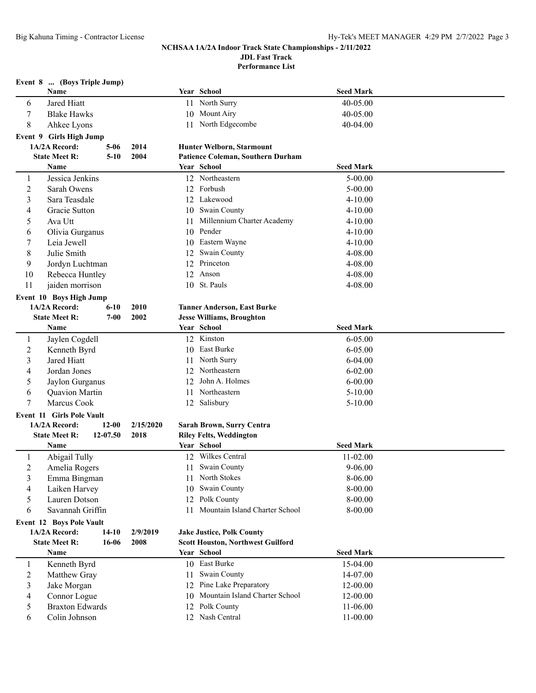**JDL Fast Track**

**Performance List**

|                | Event 8  (Boys Triple Jump)      |           |           |      |                                          |                  |  |
|----------------|----------------------------------|-----------|-----------|------|------------------------------------------|------------------|--|
|                | Name                             |           |           |      | Year School                              | Seed Mark        |  |
| 6              | Jared Hiatt                      |           |           |      | 11 North Surry                           | 40-05.00         |  |
| 7              | <b>Blake Hawks</b>               |           |           |      | 10 Mount Airy                            | 40-05.00         |  |
| 8              | Ahkee Lyons                      |           |           | 11   | North Edgecombe                          | 40-04.00         |  |
|                | Event 9 Girls High Jump          |           |           |      |                                          |                  |  |
|                | 1A/2A Record:                    | $5 - 06$  | 2014      |      | Hunter Welborn, Starmount                |                  |  |
|                | <b>State Meet R:</b>             | $5 - 10$  | 2004      |      | Patience Coleman, Southern Durham        |                  |  |
|                | <b>Name</b>                      |           |           |      | Year School                              | <b>Seed Mark</b> |  |
| 1              | Jessica Jenkins                  |           |           |      | 12 Northeastern                          | $5 - 00.00$      |  |
| 2              | Sarah Owens                      |           |           |      | 12 Forbush                               | $5 - 00.00$      |  |
| 3              | Sara Teasdale                    |           |           |      | 12 Lakewood                              | $4 - 10.00$      |  |
| 4              | Gracie Sutton                    |           |           |      | 10 Swain County                          | $4 - 10.00$      |  |
| 5              | Ava Utt                          |           |           |      | 11 Millennium Charter Academy            | $4 - 10.00$      |  |
| 6              | Olivia Gurganus                  |           |           |      | 10 Pender                                | $4 - 10.00$      |  |
| 7              | Leia Jewell                      |           |           |      | 10 Eastern Wayne                         | $4 - 10.00$      |  |
| 8              | Julie Smith                      |           |           | 12   | Swain County                             | 4-08.00          |  |
| 9              | Jordyn Luchtman                  |           |           |      | 12 Princeton                             | 4-08.00          |  |
| 10             | Rebecca Huntley                  |           |           | 12   | Anson                                    | 4-08.00          |  |
| 11             | jaiden morrison                  |           |           |      | 10 St. Pauls                             | 4-08.00          |  |
|                | Event 10 Boys High Jump          |           |           |      |                                          |                  |  |
|                | 1A/2A Record:                    | $6 - 10$  | 2010      |      | <b>Tanner Anderson, East Burke</b>       |                  |  |
|                | <b>State Meet R:</b>             | $7 - 00$  | 2002      |      | <b>Jesse Williams, Broughton</b>         |                  |  |
|                | Name                             |           |           |      | Year School                              | <b>Seed Mark</b> |  |
| 1              | Jaylen Cogdell                   |           |           |      | 12 Kinston                               | $6 - 05.00$      |  |
| $\overline{2}$ | Kenneth Byrd                     |           |           |      | 10 East Burke                            | $6 - 05.00$      |  |
| 3              | Jared Hiatt                      |           |           | 11 - | North Surry                              | $6 - 04.00$      |  |
| 4              | Jordan Jones                     |           |           |      | 12 Northeastern                          | $6 - 02.00$      |  |
| 5              | Jaylon Gurganus                  |           |           |      | 12 John A. Holmes                        | $6 - 00.00$      |  |
| 6              | Quavion Martin                   |           |           | 11   | Northeastern                             | $5-10.00$        |  |
| 7              | Marcus Cook                      |           |           |      | 12 Salisbury                             | $5 - 10.00$      |  |
|                | <b>Event 11 Girls Pole Vault</b> |           |           |      |                                          |                  |  |
|                | 1A/2A Record:                    | $12 - 00$ | 2/15/2020 |      | Sarah Brown, Surry Centra                |                  |  |
|                | <b>State Meet R:</b>             | 12-07.50  | 2018      |      | <b>Riley Felts, Weddington</b>           |                  |  |
|                | Name                             |           |           |      | Year School                              | <b>Seed Mark</b> |  |
| 1              | Abigail Tully                    |           |           |      | 12 Wilkes Central                        | $11 - 02.00$     |  |
| $\overline{c}$ | Amelia Rogers                    |           |           |      | 11 Swain County                          | $9 - 06.00$      |  |
| 3              | Emma Bingman                     |           |           |      | 11 North Stokes                          | 8-06.00          |  |
| 4              | Laiken Harvey                    |           |           |      | 10 Swain County                          | 8-00.00          |  |
| 5              | Lauren Dotson                    |           |           |      | 12 Polk County                           | 8-00.00          |  |
| 6              | Savannah Griffin                 |           |           |      | 11 Mountain Island Charter School        | 8-00.00          |  |
|                | <b>Event 12 Boys Pole Vault</b>  |           |           |      |                                          |                  |  |
|                | 1A/2A Record:                    | $14-10$   | 2/9/2019  |      | <b>Jake Justice, Polk County</b>         |                  |  |
|                | <b>State Meet R:</b>             | 16-06     | 2008      |      | <b>Scott Houston, Northwest Guilford</b> |                  |  |
|                | Name                             |           |           |      | Year School                              | <b>Seed Mark</b> |  |
| $\mathbf{1}$   | Kenneth Byrd                     |           |           |      | 10 East Burke                            | 15-04.00         |  |
| $\overline{c}$ | Matthew Gray                     |           |           | 11   | Swain County                             | 14-07.00         |  |
| 3              | Jake Morgan                      |           |           | 12   | Pine Lake Preparatory                    | 12-00.00         |  |
| 4              | Connor Logue                     |           |           | 10   | Mountain Island Charter School           | 12-00.00         |  |
| 5              | <b>Braxton Edwards</b>           |           |           |      | 12 Polk County                           | 11-06.00         |  |
| 6              | Colin Johnson                    |           |           |      | 12 Nash Central                          | 11-00.00         |  |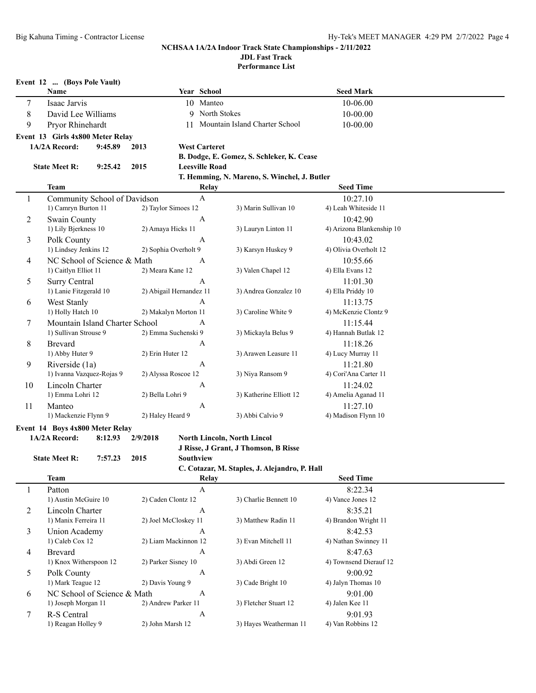**Performance List**

|             | Event 12  (Boys Pole Vault)      |                                                  |                         |                      |                       |                                              |                           |  |
|-------------|----------------------------------|--------------------------------------------------|-------------------------|----------------------|-----------------------|----------------------------------------------|---------------------------|--|
|             | Name                             |                                                  |                         |                      | Year School           |                                              | <b>Seed Mark</b>          |  |
| 7           | Isaac Jarvis                     |                                                  |                         |                      | 10 Manteo             |                                              | 10-06.00                  |  |
| $\,$ 8 $\,$ | David Lee Williams               |                                                  |                         |                      | 9 North Stokes        |                                              | 10-00.00                  |  |
| 9           | Pryor Rhinehardt                 |                                                  |                         |                      |                       | 11 Mountain Island Charter School            | 10-00.00                  |  |
|             | Event 13 Girls 4x800 Meter Relay |                                                  |                         |                      |                       |                                              |                           |  |
|             | 1A/2A Record:                    | 9:45.89                                          | 2013                    |                      | <b>West Carteret</b>  |                                              |                           |  |
|             |                                  |                                                  |                         |                      |                       | B. Dodge, E. Gomez, S. Schleker, K. Cease    |                           |  |
|             | <b>State Meet R:</b>             | 9:25.42                                          | 2015                    |                      | <b>Leesville Road</b> |                                              |                           |  |
|             |                                  |                                                  |                         |                      |                       | T. Hemming, N. Mareno, S. Winchel, J. Butler |                           |  |
|             | <b>Team</b>                      |                                                  |                         |                      | Relay                 |                                              | <b>Seed Time</b>          |  |
| 1           | Community School of Davidson     |                                                  |                         |                      | $\mathbf{A}$          |                                              | 10:27.10                  |  |
|             | 1) Camryn Burton 11              |                                                  |                         | 2) Taylor Simoes 12  |                       | 3) Marin Sullivan 10                         | 4) Leah Whiteside 11      |  |
| 2           | Swain County                     |                                                  |                         |                      | $\mathbf{A}$          |                                              | 10:42.90                  |  |
|             | 1) Lily Bjerkness 10             |                                                  |                         | 2) Amaya Hicks 11    |                       | 3) Lauryn Linton 11                          | 4) Arizona Blankenship 10 |  |
| 3           | Polk County                      |                                                  |                         |                      | $\mathsf{A}$          |                                              | 10:43.02                  |  |
|             | 1) Lindsey Jenkins 12            |                                                  |                         | 2) Sophia Overholt 9 |                       | 3) Karsyn Huskey 9                           | 4) Olivia Overholt 12     |  |
| 4           | NC School of Science & Math      |                                                  |                         |                      | А                     |                                              | 10:55.66                  |  |
|             | 1) Caitlyn Elliot 11             |                                                  | 2) Meara Kane 12        |                      |                       | 3) Valen Chapel 12                           | 4) Ella Evans 12          |  |
| 5           | Surry Central                    |                                                  | $\overline{A}$          |                      |                       |                                              | 11:01.30                  |  |
|             | 1) Lanie Fitzgerald 10           |                                                  | 2) Abigail Hernandez 11 |                      |                       | 3) Andrea Gonzalez 10                        | 4) Ella Priddy 10         |  |
| 6           | West Stanly                      |                                                  |                         |                      | $\overline{A}$        |                                              | 11:13.75                  |  |
|             | 1) Holly Hatch 10                |                                                  |                         | 2) Makalyn Morton 11 |                       | 3) Caroline White 9                          | 4) McKenzie Clontz 9      |  |
| 7           | Mountain Island Charter School   |                                                  |                         |                      | $\overline{A}$        |                                              | 11:15.44                  |  |
|             | 1) Sullivan Strouse 9            |                                                  |                         | 2) Emma Suchenski 9  |                       | 3) Mickayla Belus 9                          | 4) Hannah Butlak 12       |  |
| 8           | <b>Brevard</b>                   |                                                  |                         |                      | А                     |                                              | 11:18.26                  |  |
|             | 1) Abby Huter 9                  |                                                  | 2) Erin Huter 12        |                      |                       | 3) Arawen Leasure 11                         | 4) Lucy Murray 11         |  |
| 9           | Riverside (1a)                   |                                                  |                         |                      | $\mathbf{A}$          |                                              | 11:21.80                  |  |
|             | 1) Ivanna Vazquez-Rojas 9        |                                                  |                         | 2) Alyssa Roscoe 12  |                       | 3) Niya Ransom 9                             | 4) Cori'Ana Carter 11     |  |
| 10          | Lincoln Charter                  |                                                  |                         |                      | A                     |                                              | 11:24.02                  |  |
|             | 1) Emma Lohri 12                 |                                                  | 2) Bella Lohri 9        |                      |                       | 3) Katherine Elliott 12                      | 4) Amelia Aganad 11       |  |
| 11          | Manteo                           |                                                  |                         |                      | $\overline{A}$        |                                              | 11:27.10                  |  |
|             | 1) Mackenzie Flynn 9             | $\overline{1}$ 000 $\overline{1}$ $\overline{1}$ | 2) Haley Heard 9        |                      |                       | 3) Abbi Calvio 9                             | 4) Madison Flynn 10       |  |

### **Event 14 Boys 4x800 Meter Relay**

**State Meet R: 7:57.23 2015 Southview**

**1A/2A Record: 8:12.93 2/9/2018 North Lincoln, North Lincol**

**J Risse, J Grant, J Thomson, B Risse**

## **C. Cotazar, M. Staples, J. Alejandro, P. Hall**

|   | <b>Team</b>                 | Relay                |                        | <b>Seed Time</b>       |  |
|---|-----------------------------|----------------------|------------------------|------------------------|--|
|   | Patton                      | A                    |                        | 8:22.34                |  |
|   | 1) Austin McGuire 10        | 2) Caden Clontz 12   | 3) Charlie Bennett 10  | 4) Vance Jones 12      |  |
| 2 | Lincoln Charter             | A                    |                        | 8:35.21                |  |
|   | 1) Manix Ferreira 11        | 2) Joel McCloskey 11 | 3) Matthew Radin 11    | 4) Brandon Wright 11   |  |
| 3 | Union Academy               | A                    |                        | 8:42.53                |  |
|   | 1) Caleb Cox 12             | 2) Liam Mackinnon 12 | 3) Evan Mitchell 11    | 4) Nathan Swinney 11   |  |
| 4 | <b>Brevard</b>              | A                    |                        | 8:47.63                |  |
|   | 1) Knox Witherspoon 12      | 2) Parker Sisney 10  | 3) Abdi Green 12       | 4) Townsend Dierauf 12 |  |
| 5 | Polk County                 | A                    |                        | 9:00.92                |  |
|   | 1) Mark Teague 12           | 2) Davis Young 9     | 3) Cade Bright 10      | 4) Jalyn Thomas 10     |  |
| 6 | NC School of Science & Math | A                    |                        | 9:01.00                |  |
|   | 1) Joseph Morgan 11         | 2) Andrew Parker 11  | 3) Fletcher Stuart 12  | 4) Jalen Kee 11        |  |
|   | R-S Central                 | A                    |                        | 9:01.93                |  |
|   | 1) Reagan Holley 9          | 2) John Marsh 12     | 3) Hayes Weatherman 11 | 4) Van Robbins 12      |  |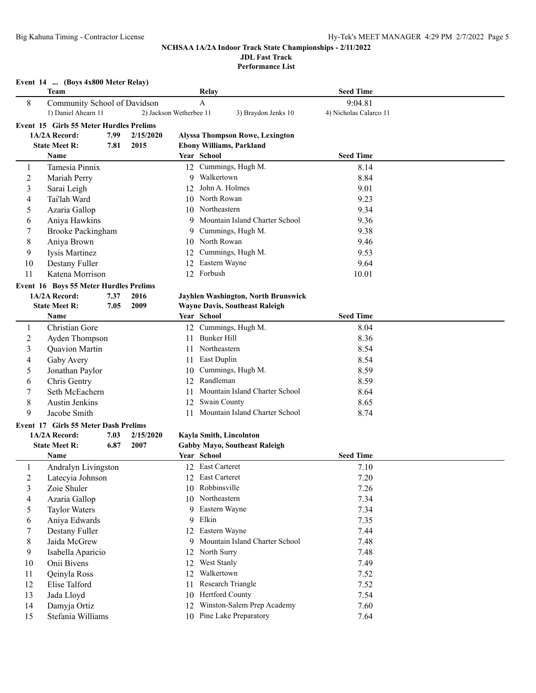# **JDL Fast Track**

**Performance List**

|                | Event 14  (Boys 4x800 Meter Relay)                  |      |                         |    |                                                     |                                   |  |
|----------------|-----------------------------------------------------|------|-------------------------|----|-----------------------------------------------------|-----------------------------------|--|
|                | <b>Team</b>                                         |      |                         |    | Relay                                               | <b>Seed Time</b>                  |  |
| 8              | Community School of Davidson<br>1) Daniel Ahearn 11 |      | 2) Jackson Wetherbee 11 |    | A<br>3) Braydon Jenks 10                            | 9:04.81<br>4) Nicholas Calarco 11 |  |
|                | Event 15 Girls 55 Meter Hurdles Prelims             |      |                         |    |                                                     |                                   |  |
|                | 1A/2A Record:                                       | 7.99 | 2/15/2020               |    | <b>Alyssa Thompson Rowe, Lexington</b>              |                                   |  |
|                | <b>State Meet R:</b>                                | 7.81 | 2015                    |    | <b>Ebony Williams, Parkland</b>                     |                                   |  |
|                | Name                                                |      |                         |    | Year School                                         | <b>Seed Time</b>                  |  |
| 1              | Tamesia Pinnix                                      |      |                         |    | 12 Cummings, Hugh M.                                | 8.14                              |  |
| $\overline{2}$ | Mariah Perry                                        |      |                         | 9  | Walkertown                                          | 8.84                              |  |
| 3              | Sarai Leigh                                         |      |                         | 12 | John A. Holmes                                      | 9.01                              |  |
| 4              | Tai'lah Ward                                        |      |                         |    | 10 North Rowan                                      | 9.23                              |  |
| 5              | Azaria Gallop                                       |      |                         |    | 10 Northeastern                                     | 9.34                              |  |
| 6              | Aniya Hawkins                                       |      |                         | 9  | Mountain Island Charter School                      | 9.36                              |  |
| 7              | <b>Brooke Packingham</b>                            |      |                         | 9  | Cummings, Hugh M.                                   | 9.38                              |  |
| 8              | Aniya Brown                                         |      |                         |    | 10 North Rowan                                      | 9.46                              |  |
| 9              | Iysis Martinez                                      |      |                         | 12 | Cummings, Hugh M.                                   | 9.53                              |  |
| 10             | Destany Fuller                                      |      |                         |    | 12 Eastern Wayne                                    | 9.64                              |  |
| 11             | Katena Morrison                                     |      |                         |    | 12 Forbush                                          | 10.01                             |  |
|                | Event 16 Boys 55 Meter Hurdles Prelims              |      |                         |    |                                                     |                                   |  |
|                | 1A/2A Record:                                       | 7.37 | 2016                    |    | Jayhlen Washington, North Brunswick                 |                                   |  |
|                | <b>State Meet R:</b>                                | 7.05 | 2009                    |    | <b>Wayne Davis, Southeast Raleigh</b>               |                                   |  |
|                | Name                                                |      |                         |    | Year School                                         | <b>Seed Time</b>                  |  |
| 1              | Christian Gore                                      |      |                         |    | 12 Cummings, Hugh M.                                | 8.04                              |  |
| 2              | Ayden Thompson                                      |      |                         | 11 | Bunker Hill                                         | 8.36                              |  |
| 3              | Quavion Martin                                      |      |                         |    | 11 Northeastern                                     | 8.54                              |  |
| 4              | Gaby Avery                                          |      |                         |    | 11 East Duplin                                      | 8.54                              |  |
| 5              | Jonathan Paylor                                     |      |                         | 10 | Cummings, Hugh M.                                   | 8.59                              |  |
| 6              | Chris Gentry                                        |      |                         | 12 | Randleman                                           | 8.59                              |  |
| 7              | Seth McEachern                                      |      |                         | 11 | Mountain Island Charter School                      | 8.64                              |  |
| $\,$ 8 $\,$    | <b>Austin Jenkins</b>                               |      |                         |    | 12 Swain County                                     | 8.65                              |  |
| 9              | Jacobe Smith                                        |      |                         | 11 | Mountain Island Charter School                      | 8.74                              |  |
|                |                                                     |      |                         |    |                                                     |                                   |  |
|                | Event 17 Girls 55 Meter Dash Prelims                |      |                         |    |                                                     |                                   |  |
|                | 1A/2A Record:                                       | 7.03 | 2/15/2020               |    | Kayla Smith, Lincolnton                             |                                   |  |
|                | <b>State Meet R:</b><br>Name                        | 6.87 | 2007                    |    | <b>Gabby Mayo, Southeast Raleigh</b><br>Year School | <b>Seed Time</b>                  |  |
|                |                                                     |      |                         |    |                                                     |                                   |  |
|                | Andralyn Livingston                                 |      |                         |    | 12 East Carteret<br>12 East Carteret                | 7.10                              |  |
| 2              | Latecyia Johnson                                    |      |                         |    | Robbinsville                                        | 7.20                              |  |
| 3              | Zoie Shuler                                         |      |                         | 10 |                                                     | 7.26                              |  |
| 4              | Azaria Gallop                                       |      |                         |    | 10 Northeastern                                     | 7.34                              |  |
| 5              | <b>Taylor Waters</b>                                |      |                         | 9  | Eastern Wayne                                       | 7.34                              |  |
| 6              | Aniya Edwards                                       |      |                         | 9  | Elkin                                               | 7.35                              |  |
| 7              | Destany Fuller                                      |      |                         | 12 | Eastern Wayne                                       | 7.44                              |  |
| 8              | Jaida McGrew                                        |      |                         | 9  | Mountain Island Charter School                      | 7.48                              |  |
| 9              | Isabella Aparicio                                   |      |                         | 12 | North Surry                                         | 7.48                              |  |
| 10             | Onii Bivens                                         |      |                         | 12 | West Stanly                                         | 7.49                              |  |
| 11             | Qeinyla Ross                                        |      |                         | 12 | Walkertown                                          | 7.52                              |  |
| 12             | Elise Talford                                       |      |                         | 11 | Research Triangle                                   | 7.52                              |  |
| 13             | Jada Lloyd                                          |      |                         | 10 | Hertford County                                     | 7.54                              |  |
| 14             | Damyja Ortiz                                        |      |                         | 12 | Winston-Salem Prep Academy                          | 7.60                              |  |
| 15             | Stefania Williams                                   |      |                         |    | 10 Pine Lake Preparatory                            | 7.64                              |  |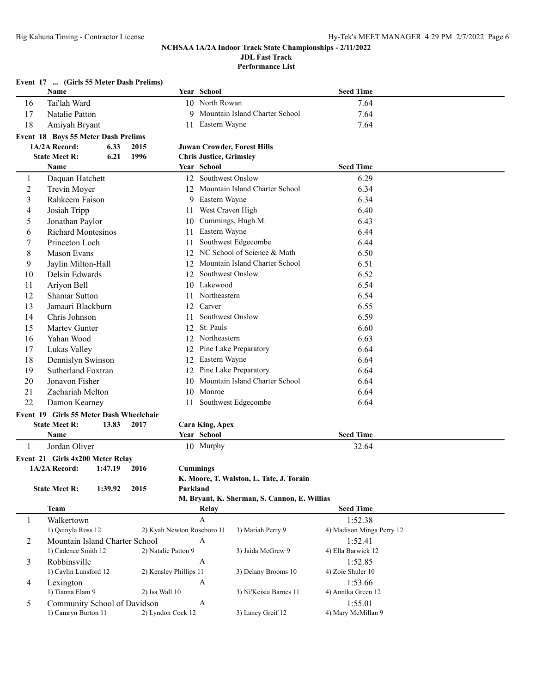**Performance List**

|    | Event 17  (Girls 55 Meter Dash Prelims) |         |                        |                 |                                |                                              |                           |  |
|----|-----------------------------------------|---------|------------------------|-----------------|--------------------------------|----------------------------------------------|---------------------------|--|
|    | <b>Name</b>                             |         |                        |                 | Year School                    |                                              | <b>Seed Time</b>          |  |
| 16 | Tai'lah Ward                            |         |                        |                 | 10 North Rowan                 |                                              | 7.64                      |  |
| 17 | Natalie Patton                          |         |                        | 9               |                                | Mountain Island Charter School               | 7.64                      |  |
| 18 | Amiyah Bryant                           |         |                        |                 | 11 Eastern Wayne               |                                              | 7.64                      |  |
|    | Event 18 Boys 55 Meter Dash Prelims     |         |                        |                 |                                |                                              |                           |  |
|    | 1A/2A Record:                           | 6.33    | 2015                   |                 |                                | <b>Juwan Crowder, Forest Hills</b>           |                           |  |
|    | <b>State Meet R:</b>                    | 6.21    | 1996                   |                 | <b>Chris Justice, Grimsley</b> |                                              |                           |  |
|    | Name                                    |         |                        |                 | Year School                    |                                              | <b>Seed Time</b>          |  |
| 1  | Daquan Hatchett                         |         |                        |                 | 12 Southwest Onslow            |                                              | 6.29                      |  |
| 2  | Trevin Moyer                            |         |                        | 12              |                                | Mountain Island Charter School               | 6.34                      |  |
| 3  | Rahkeem Faison                          |         |                        | 9               | Eastern Wayne                  |                                              | 6.34                      |  |
| 4  | Josiah Tripp                            |         |                        | 11-             | West Craven High               |                                              | 6.40                      |  |
| 5  | Jonathan Paylor                         |         |                        | 10              |                                | Cummings, Hugh M.                            | 6.43                      |  |
| 6  | <b>Richard Montesinos</b>               |         |                        | 11              | Eastern Wayne                  |                                              | 6.44                      |  |
| 7  | Princeton Loch                          |         |                        | 11              |                                | Southwest Edgecombe                          | 6.44                      |  |
| 8  | <b>Mason Evans</b>                      |         |                        |                 |                                | 12 NC School of Science & Math               | 6.50                      |  |
| 9  | Jaylin Milton-Hall                      |         |                        |                 |                                | 12 Mountain Island Charter School            | 6.51                      |  |
| 10 | Delsin Edwards                          |         |                        | 12              | Southwest Onslow               |                                              | 6.52                      |  |
| 11 | Ariyon Bell                             |         |                        |                 | 10 Lakewood                    |                                              | 6.54                      |  |
| 12 | <b>Shamar Sutton</b>                    |         |                        | 11              | Northeastern                   |                                              | 6.54                      |  |
| 13 | Jamaari Blackburn                       |         |                        |                 | 12 Carver                      |                                              | 6.55                      |  |
| 14 | Chris Johnson                           |         |                        | 11              | Southwest Onslow               |                                              | 6.59                      |  |
| 15 | Martev Gunter                           |         |                        |                 | 12 St. Pauls                   |                                              | 6.60                      |  |
| 16 | Yahan Wood                              |         |                        |                 | 12 Northeastern                |                                              | 6.63                      |  |
| 17 | Lukas Valley                            |         |                        |                 |                                | 12 Pine Lake Preparatory                     | 6.64                      |  |
| 18 | Dennislyn Swinson                       |         |                        | 12              | Eastern Wayne                  |                                              | 6.64                      |  |
| 19 | Sutherland Foxtran                      |         |                        | 12              |                                | Pine Lake Preparatory                        | 6.64                      |  |
| 20 | Jonavon Fisher                          |         |                        | 10              |                                | Mountain Island Charter School               | 6.64                      |  |
| 21 | Zachariah Melton                        |         |                        | 10              | Monroe                         |                                              | 6.64                      |  |
| 22 | Damon Kearney                           |         |                        | 11              |                                | Southwest Edgecombe                          | 6.64                      |  |
|    | Event 19 Girls 55 Meter Dash Wheelchair |         |                        |                 |                                |                                              |                           |  |
|    | <b>State Meet R:</b>                    | 13.83   | 2017                   |                 | <b>Cara King, Apex</b>         |                                              |                           |  |
|    | Name                                    |         |                        |                 | Year School                    |                                              | <b>Seed Time</b>          |  |
| 1  | Jordan Oliver                           |         |                        |                 | 10 Murphy                      |                                              | 32.64                     |  |
|    | Event 21 Girls 4x200 Meter Relay        |         |                        |                 |                                |                                              |                           |  |
|    | 1A/2A Record:                           | 1:47.19 | 2016                   | <b>Cummings</b> |                                |                                              |                           |  |
|    |                                         |         |                        |                 |                                | K. Moore, T. Walston, L. Tate, J. Torain     |                           |  |
|    | <b>State Meet R:</b>                    | 1:39.92 | 2015                   | Parkland        |                                |                                              |                           |  |
|    |                                         |         |                        |                 |                                | M. Bryant, K. Sherman, S. Cannon, E. Willias |                           |  |
|    | <b>Team</b>                             |         |                        |                 | Relay                          |                                              | <b>Seed Time</b>          |  |
| 1  | Walkertown                              |         |                        |                 | A                              |                                              | 1:52.38                   |  |
|    | 1) Qeinyla Ross 12                      |         |                        |                 | 2) Kyah Newton Roseboro 11     | 3) Mariah Perry 9                            | 4) Madison Minga Perry 12 |  |
| 2  | Mountain Island Charter School          |         |                        |                 | A                              |                                              | 1:52.41                   |  |
|    | 1) Cadence Smith 12                     |         | 2) Natalie Patton 9    |                 |                                | 3) Jaida McGrew 9                            | 4) Ella Barwick 12        |  |
| 3  | Robbinsville                            |         |                        |                 | $\boldsymbol{A}$               |                                              | 1:52.85                   |  |
|    | 1) Caylin Lunsford 12                   |         | 2) Kensley Phillips 11 |                 |                                | 3) Delany Brooms 10                          | 4) Zoie Shuler 10         |  |
| 4  | Lexington                               |         |                        |                 | A                              |                                              | 1:53.66                   |  |
|    | 1) Tianna Elam 9                        |         | 2) Isa Wall 10         |                 |                                | 3) Ni'Keisia Barnes 11                       | 4) Annika Green 12        |  |
| 5  | Community School of Davidson            |         |                        |                 | $\mathbf{A}$                   |                                              | 1:55.01                   |  |
|    | 1) Camryn Burton 11                     |         | 2) Lyndon Cock 12      |                 |                                | 3) Laney Greif 12                            | 4) Mary McMillan 9        |  |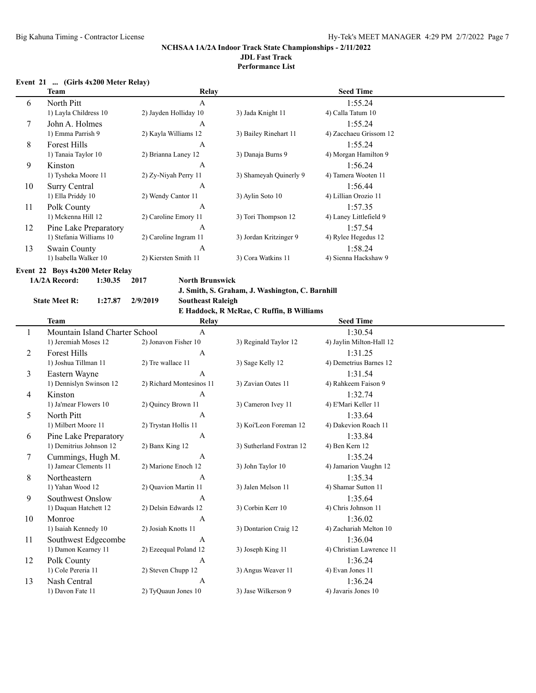## **Performance List**

## **Event 21 ... (Girls 4x200 Meter Relay)**

|    | Team                    | Relay                 |                        | <b>Seed Time</b>       |
|----|-------------------------|-----------------------|------------------------|------------------------|
| 6  | North Pitt              | A                     |                        | 1:55.24                |
|    | 1) Layla Childress 10   | 2) Jayden Holliday 10 | 3) Jada Knight 11      | 4) Calla Tatum 10      |
| 7  | John A. Holmes          | A                     |                        | 1:55.24                |
|    | 1) Emma Parrish 9       | 2) Kayla Williams 12  | 3) Bailey Rinehart 11  | 4) Zacchaeu Grissom 12 |
| 8  | <b>Forest Hills</b>     | A                     |                        | 1:55.24                |
|    | 1) Tanaia Taylor 10     | 2) Brianna Laney 12   | 3) Danaja Burns 9      | 4) Morgan Hamilton 9   |
| 9  | Kinston                 | A                     |                        | 1:56.24                |
|    | 1) Tysheka Moore 11     | 2) Zy-Niyah Perry 11  | 3) Shameyah Quinerly 9 | 4) Tamera Wooten 11    |
| 10 | Surry Central           | A                     |                        | 1:56.44                |
|    | 1) Ella Priddy 10       | 2) Wendy Cantor 11    | 3) Aylin Soto 10       | 4) Lillian Orozio 11   |
| 11 | Polk County             | A                     |                        | 1:57.35                |
|    | 1) Mckenna Hill 12      | 2) Caroline Emory 11  | 3) Tori Thompson 12    | 4) Laney Littlefield 9 |
| 12 | Pine Lake Preparatory   | A                     |                        | 1:57.54                |
|    | 1) Stefania Williams 10 | 2) Caroline Ingram 11 | 3) Jordan Kritzinger 9 | 4) Rylee Hegedus 12    |
| 13 | Swain County            | A                     |                        | 1:58.24                |
|    | 1) Isabella Walker 10   | 2) Kiersten Smith 11  | 3) Cora Watkins 11     | 4) Sienna Hackshaw 9   |
|    |                         |                       |                        |                        |

**Event 22 Boys 4x200 Meter Relay**

**1A/2A Record: 1:30.35 2017 North Brunswick**

**J. Smith, S. Graham, J. Washington, C. Barnhill**

#### **State Meet R: 1:27.87 2/9/2019 Southeast Raleigh**

**E Haddock, R McRae, C Ruffin, B Williams**

|    | Team                           | Relay                    |                          | <b>Seed Time</b>         |  |
|----|--------------------------------|--------------------------|--------------------------|--------------------------|--|
|    | Mountain Island Charter School | A                        |                          | 1:30.54                  |  |
|    | 1) Jeremiah Moses 12           | 2) Jonavon Fisher 10     | 3) Reginald Taylor 12    | 4) Jaylin Milton-Hall 12 |  |
| 2  | <b>Forest Hills</b>            | A                        |                          | 1:31.25                  |  |
|    | 1) Joshua Tillman 11           | 2) Tre wallace 11        | 3) Sage Kelly 12         | 4) Demetrius Barnes 12   |  |
| 3  | Eastern Wayne                  | A                        |                          | 1:31.54                  |  |
|    | 1) Dennislyn Swinson 12        | 2) Richard Montesinos 11 | 3) Zavian Oates 11       | 4) Rahkeem Faison 9      |  |
| 4  | Kinston                        | A                        |                          | 1:32.74                  |  |
|    | 1) Ja'mear Flowers 10          | 2) Quincy Brown 11       | 3) Cameron Ivey 11       | 4) E'Mari Keller 11      |  |
| 5  | North Pitt                     | A                        |                          | 1:33.64                  |  |
|    | 1) Milbert Moore 11            | 2) Trystan Hollis 11     | 3) Koi'Leon Foreman 12   | 4) Dakevion Roach 11     |  |
| 6  | Pine Lake Preparatory          | A                        |                          | 1:33.84                  |  |
|    | 1) Demitrius Johnson 12        | 2) Banx King 12          | 3) Sutherland Foxtran 12 | 4) Ben Kern 12           |  |
| 7  | Cummings, Hugh M.              | A                        |                          | 1:35.24                  |  |
|    | 1) Jamear Clements 11          | 2) Marione Enoch 12      | 3) John Taylor 10        | 4) Jamarion Vaughn 12    |  |
| 8  | Northeastern                   | A                        |                          | 1:35.34                  |  |
|    | 1) Yahan Wood 12               | 2) Quavion Martin 11     | 3) Jalen Melson 11       | 4) Shamar Sutton 11      |  |
| 9  | Southwest Onslow               | A                        |                          | 1:35.64                  |  |
|    | 1) Daquan Hatchett 12          | 2) Delsin Edwards 12     | 3) Corbin Kerr 10        | 4) Chris Johnson 11      |  |
| 10 | Monroe                         | A                        |                          | 1:36.02                  |  |
|    | 1) Isaiah Kennedy 10           | 2) Josiah Knotts 11      | 3) Dontarion Craig 12    | 4) Zachariah Melton 10   |  |
| 11 | Southwest Edgecombe            | A                        |                          | 1:36.04                  |  |
|    | 1) Damon Kearney 11            | 2) Ezeequal Poland 12    | 3) Joseph King 11        | 4) Christian Lawrence 11 |  |
| 12 | Polk County                    | A                        |                          | 1:36.24                  |  |
|    | 1) Cole Pereria 11             | 2) Steven Chupp 12       | 3) Angus Weaver 11       | 4) Evan Jones 11         |  |
| 13 | Nash Central                   | A                        |                          | 1:36.24                  |  |
|    | 1) Davon Fate 11               | 2) TyQuaun Jones 10      | 3) Jase Wilkerson 9      | 4) Javaris Jones 10      |  |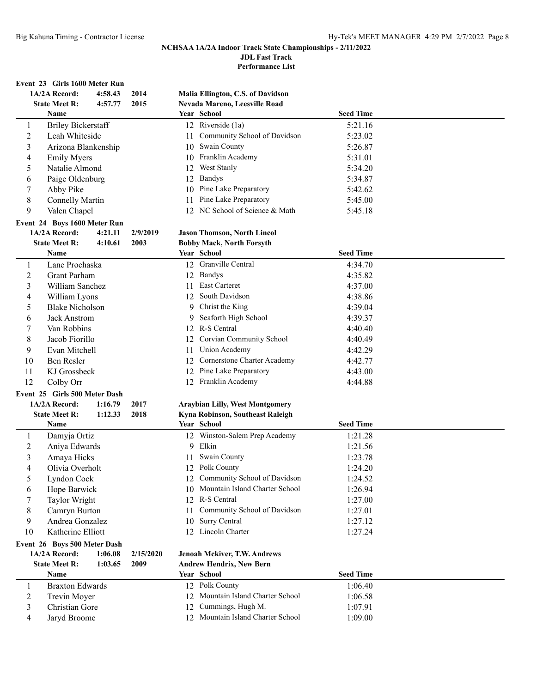**JDL Fast Track**

**Performance List**

## **Event 23 Girls 1600 Meter Run**

|                  | 1A/2A Record:                 | 4:58.43 | 2014      |    | Malia Ellington, C.S. of Davidson      |                  |  |
|------------------|-------------------------------|---------|-----------|----|----------------------------------------|------------------|--|
|                  | <b>State Meet R:</b>          | 4:57.77 | 2015      |    | Nevada Mareno, Leesville Road          |                  |  |
|                  | Name                          |         |           |    | Year School                            | <b>Seed Time</b> |  |
| $\mathbf{1}$     | <b>Briley Bickerstaff</b>     |         |           |    | 12 Riverside (1a)                      | 5:21.16          |  |
| $\sqrt{2}$       | Leah Whiteside                |         |           | 11 | Community School of Davidson           | 5:23.02          |  |
| $\mathfrak{Z}$   | Arizona Blankenship           |         |           |    | 10 Swain County                        | 5:26.87          |  |
| 4                | <b>Emily Myers</b>            |         |           |    | 10 Franklin Academy                    | 5:31.01          |  |
| 5                | Natalie Almond                |         |           |    | 12 West Stanly                         | 5:34.20          |  |
| 6                | Paige Oldenburg               |         |           |    | 12 Bandys                              | 5:34.87          |  |
| 7                | Abby Pike                     |         |           |    | 10 Pine Lake Preparatory               | 5:42.62          |  |
| 8                | <b>Connelly Martin</b>        |         |           |    | 11 Pine Lake Preparatory               | 5:45.00          |  |
| 9                | Valen Chapel                  |         |           |    | 12 NC School of Science & Math         | 5:45.18          |  |
|                  | Event 24 Boys 1600 Meter Run  |         |           |    |                                        |                  |  |
|                  | 1A/2A Record:                 | 4:21.11 | 2/9/2019  |    | <b>Jason Thomson, North Lincol</b>     |                  |  |
|                  | <b>State Meet R:</b>          | 4:10.61 | 2003      |    | <b>Bobby Mack, North Forsyth</b>       |                  |  |
|                  | Name                          |         |           |    | Year School                            | <b>Seed Time</b> |  |
| 1                | Lane Prochaska                |         |           |    | 12 Granville Central                   | 4:34.70          |  |
| $\boldsymbol{2}$ | Grant Parham                  |         |           |    | 12 Bandys                              | 4:35.82          |  |
| $\mathfrak{Z}$   | William Sanchez               |         |           |    | 11 East Carteret                       | 4:37.00          |  |
| $\overline{4}$   | William Lyons                 |         |           |    | 12 South Davidson                      | 4:38.86          |  |
| 5                | <b>Blake Nicholson</b>        |         |           |    | 9 Christ the King                      | 4:39.04          |  |
| 6                | Jack Anstrom                  |         |           | 9  | Seaforth High School                   | 4:39.37          |  |
| 7                | Van Robbins                   |         |           |    | 12 R-S Central                         | 4:40.40          |  |
| 8                | Jacob Fiorillo                |         |           |    | 12 Corvian Community School            | 4:40.49          |  |
| 9                | Evan Mitchell                 |         |           | 11 | Union Academy                          | 4:42.29          |  |
| 10               | Ben Resler                    |         |           |    | 12 Cornerstone Charter Academy         | 4:42.77          |  |
|                  |                               |         |           |    | 12 Pine Lake Preparatory               |                  |  |
| 11<br>12         | KJ Grossbeck                  |         |           |    | 12 Franklin Academy                    | 4:43.00          |  |
|                  | Colby Orr                     |         |           |    |                                        | 4:44.88          |  |
|                  | Event 25 Girls 500 Meter Dash |         |           |    |                                        |                  |  |
|                  | 1A/2A Record:                 | 1:16.79 | 2017      |    | <b>Araybian Lilly, West Montgomery</b> |                  |  |
|                  | <b>State Meet R:</b>          | 1:12.33 | 2018      |    | Kyna Robinson, Southeast Raleigh       |                  |  |
|                  | Name                          |         |           |    | Year School                            | <b>Seed Time</b> |  |
| 1                | Damyja Ortiz                  |         |           |    | 12 Winston-Salem Prep Academy          | 1:21.28          |  |
| $\overline{c}$   | Aniya Edwards                 |         |           |    | 9 Elkin                                | 1:21.56          |  |
| 3                | Amaya Hicks                   |         |           | 11 | <b>Swain County</b>                    | 1:23.78          |  |
| $\overline{4}$   | Olivia Overholt               |         |           |    | 12 Polk County                         | 1:24.20          |  |
| 5                | Lyndon Cock                   |         |           |    | 12 Community School of Davidson        | 1:24.52          |  |
| 6                | Hope Barwick                  |         |           |    | 10 Mountain Island Charter School      | 1:26.94          |  |
| 7                | Taylor Wright                 |         |           | 12 | R-S Central                            | 1:27.00          |  |
| 8                | Camryn Burton                 |         |           | 11 | Community School of Davidson           | 1:27.01          |  |
| 9                | Andrea Gonzalez               |         |           | 10 | Surry Central                          | 1:27.12          |  |
| 10               | Katherine Elliott             |         |           |    | 12 Lincoln Charter                     | 1:27.24          |  |
|                  | Event 26 Boys 500 Meter Dash  |         |           |    |                                        |                  |  |
|                  | 1A/2A Record:                 | 1:06.08 | 2/15/2020 |    | Jenoah Mckiver, T.W. Andrews           |                  |  |
|                  | <b>State Meet R:</b>          | 1:03.65 | 2009      |    | <b>Andrew Hendrix, New Bern</b>        |                  |  |
|                  | Name                          |         |           |    | Year School                            | <b>Seed Time</b> |  |
| 1                | <b>Braxton Edwards</b>        |         |           |    | 12 Polk County                         | 1:06.40          |  |
| $\overline{c}$   | Trevin Moyer                  |         |           |    | 12 Mountain Island Charter School      | 1:06.58          |  |
| 3                | Christian Gore                |         |           |    | 12 Cummings, Hugh M.                   | 1:07.91          |  |
| 4                | Jaryd Broome                  |         |           |    | 12 Mountain Island Charter School      | 1:09.00          |  |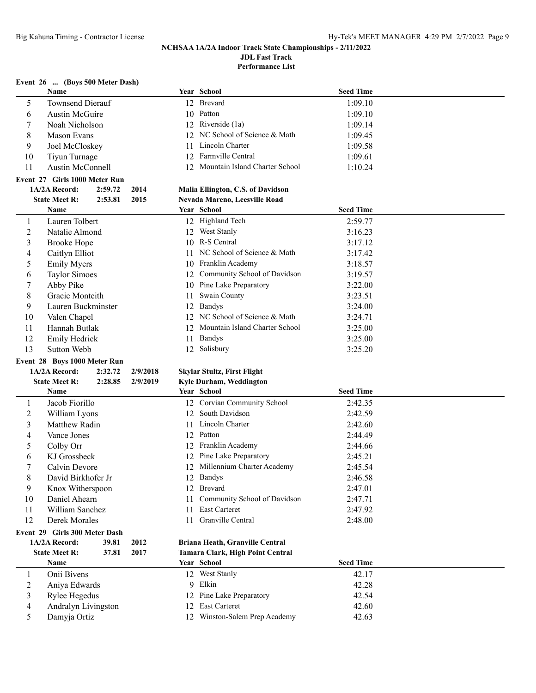**Performance List**

## **Event 26 ... (Boys 500 Meter Dash)**

| $L$ , cht $L_{\theta}$ (Do), Journal Dasn |                                 |          |    |                                    |                    |  |
|-------------------------------------------|---------------------------------|----------|----|------------------------------------|--------------------|--|
|                                           | Name                            |          |    | Year School                        | <b>Seed Time</b>   |  |
| 5                                         | <b>Townsend Dierauf</b>         |          |    | 12 Brevard                         | 1:09.10            |  |
| 6                                         | <b>Austin McGuire</b>           |          |    | 10 Patton                          | 1:09.10            |  |
| 7                                         | Noah Nicholson                  |          |    | 12 Riverside (1a)                  | 1:09.14            |  |
| 8                                         | Mason Evans                     |          |    | 12 NC School of Science & Math     | 1:09.45            |  |
| 9                                         | Joel McCloskey                  |          |    | 11 Lincoln Charter                 | 1:09.58            |  |
| 10                                        | Tiyun Turnage                   |          |    | 12 Farmville Central               | 1:09.61            |  |
| 11                                        | <b>Austin McConnell</b>         |          |    | 12 Mountain Island Charter School  | 1:10.24            |  |
|                                           | Event 27 Girls 1000 Meter Run   |          |    |                                    |                    |  |
|                                           | 1A/2A Record:<br>2:59.72        | 2014     |    | Malia Ellington, C.S. of Davidson  |                    |  |
|                                           | <b>State Meet R:</b><br>2:53.81 | 2015     |    | Nevada Mareno, Leesville Road      |                    |  |
|                                           | Name                            |          |    | Year School                        | <b>Seed Time</b>   |  |
| 1                                         | Lauren Tolbert                  |          |    | 12 Highland Tech                   | 2:59.77            |  |
| $\overline{c}$                            | Natalie Almond                  |          |    | 12 West Stanly                     | 3:16.23            |  |
| 3                                         | <b>Brooke Hope</b>              |          |    | 10 R-S Central                     | 3:17.12            |  |
| 4                                         | Caitlyn Elliot                  |          |    | 11 NC School of Science & Math     | 3:17.42            |  |
| 5                                         | <b>Emily Myers</b>              |          | 10 | Franklin Academy                   | 3:18.57            |  |
| 6                                         | <b>Taylor Simoes</b>            |          | 12 | Community School of Davidson       | 3:19.57            |  |
| 7                                         | Abby Pike                       |          |    | 10 Pine Lake Preparatory           | 3:22.00            |  |
| 8                                         | Gracie Monteith                 |          | 11 | Swain County                       | 3:23.51            |  |
| 9                                         | Lauren Buckminster              |          |    | 12 Bandys                          | 3:24.00            |  |
| 10                                        | Valen Chapel                    |          |    | 12 NC School of Science & Math     | 3:24.71            |  |
| 11                                        | Hannah Butlak                   |          |    | 12 Mountain Island Charter School  | 3:25.00            |  |
| 12                                        | Emily Hedrick                   |          |    | 11 Bandys                          | 3:25.00            |  |
| 13                                        | Sutton Webb                     |          |    | 12 Salisbury                       | 3:25.20            |  |
|                                           | Event 28 Boys 1000 Meter Run    |          |    |                                    |                    |  |
|                                           | 1A/2A Record:<br>2:32.72        | 2/9/2018 |    | <b>Skylar Stultz, First Flight</b> |                    |  |
|                                           |                                 |          |    |                                    |                    |  |
|                                           | <b>State Meet R:</b><br>2:28.85 | 2/9/2019 |    | Kyle Durham, Weddington            |                    |  |
|                                           | Name                            |          |    | Year School                        | <b>Seed Time</b>   |  |
| 1                                         | Jacob Fiorillo                  |          |    | 12 Corvian Community School        | 2:42.35            |  |
|                                           |                                 |          |    | 12 South Davidson                  | 2:42.59            |  |
| 2<br>3                                    | William Lyons<br>Matthew Radin  |          |    | 11 Lincoln Charter                 | 2:42.60            |  |
|                                           |                                 |          |    | 12 Patton                          |                    |  |
| 4<br>5                                    | Vance Jones                     |          |    | 12 Franklin Academy                | 2:44.49<br>2:44.66 |  |
|                                           | Colby Orr                       |          |    |                                    |                    |  |
| 6                                         | KJ Grossbeck                    |          |    | 12 Pine Lake Preparatory           | 2:45.21            |  |
| 7                                         | Calvin Devore                   |          |    | 12 Millennium Charter Academy      | 2:45.54            |  |
| $8\,$                                     | David Birkhofer Jr              |          |    | 12 Bandys                          | 2:46.58            |  |
| 9                                         | Knox Witherspoon                |          |    | 12 Brevard                         | 2:47.01            |  |
| 10                                        | Daniel Ahearn                   |          | 11 | Community School of Davidson       | 2:47.71            |  |
| 11                                        | William Sanchez                 |          | 11 | East Carteret                      | 2:47.92            |  |
| 12                                        | Derek Morales                   |          | 11 | Granville Central                  | 2:48.00            |  |
|                                           | Event 29 Girls 300 Meter Dash   |          |    |                                    |                    |  |
|                                           | 1A/2A Record:<br>39.81          | 2012     |    | Briana Heath, Granville Central    |                    |  |
|                                           | <b>State Meet R:</b><br>37.81   | 2017     |    | Tamara Clark, High Point Central   |                    |  |
|                                           | Name                            |          |    | Year School                        | <b>Seed Time</b>   |  |
| 1                                         | Onii Bivens                     |          |    | 12 West Stanly                     | 42.17              |  |
| 2                                         | Aniya Edwards                   |          |    | 9 Elkin                            | 42.28              |  |
| 3                                         | Rylee Hegedus                   |          |    | 12 Pine Lake Preparatory           | 42.54              |  |
| $\overline{\mathcal{A}}$                  | Andralyn Livingston             |          |    | 12 East Carteret                   | 42.60              |  |
| 5                                         | Damyja Ortiz                    |          |    | 12 Winston-Salem Prep Academy      | 42.63              |  |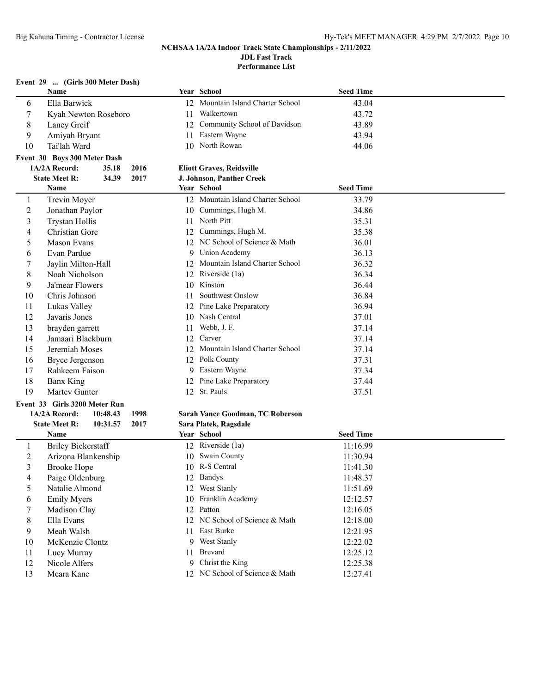**Performance List**

## **Event 29 ... (Girls 300 Meter Dash)**

|                | Name                                     |    | Year School                             | <b>Seed Time</b> |  |
|----------------|------------------------------------------|----|-----------------------------------------|------------------|--|
| 6              | Ella Barwick                             |    | 12 Mountain Island Charter School       | 43.04            |  |
| 7              | Kyah Newton Roseboro                     | 11 | Walkertown                              | 43.72            |  |
| 8              | Laney Greif                              | 12 | Community School of Davidson            | 43.89            |  |
| 9              | Amiyah Bryant                            | 11 | Eastern Wayne                           | 43.94            |  |
| 10             | Tai'lah Ward                             |    | 10 North Rowan                          | 44.06            |  |
|                | Event 30 Boys 300 Meter Dash             |    |                                         |                  |  |
|                | 2016<br>1A/2A Record:<br>35.18           |    | <b>Eliott Graves, Reidsville</b>        |                  |  |
|                | <b>State Meet R:</b><br>34.39<br>2017    |    | J. Johnson, Panther Creek               |                  |  |
|                | Name                                     |    | Year School                             | <b>Seed Time</b> |  |
| 1              | Trevin Moyer                             |    | 12 Mountain Island Charter School       | 33.79            |  |
| $\overline{c}$ | Jonathan Paylor                          |    | 10 Cummings, Hugh M.                    | 34.86            |  |
| 3              | <b>Trystan Hollis</b>                    |    | 11 North Pitt                           | 35.31            |  |
| $\overline{4}$ | Christian Gore                           |    | 12 Cummings, Hugh M.                    | 35.38            |  |
| 5              | <b>Mason Evans</b>                       |    | 12 NC School of Science & Math          | 36.01            |  |
| 6              | Evan Pardue                              |    | 9 Union Academy                         | 36.13            |  |
| 7              | Jaylin Milton-Hall                       |    | 12 Mountain Island Charter School       | 36.32            |  |
| 8              | Noah Nicholson                           |    | 12 Riverside (1a)                       | 36.34            |  |
| 9              | Ja'mear Flowers                          |    | 10 Kinston                              | 36.44            |  |
| 10             | Chris Johnson                            | 11 | Southwest Onslow                        | 36.84            |  |
| 11             | Lukas Valley                             |    | 12 Pine Lake Preparatory                | 36.94            |  |
| 12             | Javaris Jones                            |    | 10 Nash Central                         | 37.01            |  |
| 13             | brayden garrett                          | 11 | Webb, J. F.                             | 37.14            |  |
| 14             | Jamaari Blackburn                        | 12 | Carver                                  | 37.14            |  |
| 15             | Jeremiah Moses                           |    | 12 Mountain Island Charter School       | 37.14            |  |
| 16             | <b>Bryce Jergenson</b>                   |    | 12 Polk County                          | 37.31            |  |
| 17             | Rahkeem Faison                           |    | 9 Eastern Wayne                         | 37.34            |  |
| 18             | <b>Banx King</b>                         |    | 12 Pine Lake Preparatory                | 37.44            |  |
| 19             | Martey Gunter                            |    | 12 St. Pauls                            | 37.51            |  |
|                | Event 33 Girls 3200 Meter Run            |    |                                         |                  |  |
|                | 1A/2A Record:<br>10:48.43<br>1998        |    | <b>Sarah Vance Goodman, TC Roberson</b> |                  |  |
|                | <b>State Meet R:</b><br>2017<br>10:31.57 |    | Sara Platek, Ragsdale                   |                  |  |
|                | Name                                     |    | Year School                             | <b>Seed Time</b> |  |
| 1              | <b>Briley Bickerstaff</b>                |    | 12 Riverside (1a)                       | 11:16.99         |  |
| $\overline{c}$ | Arizona Blankenship                      |    | 10 Swain County                         | 11:30.94         |  |
| $\mathfrak{Z}$ | <b>Brooke Hope</b>                       |    | 10 R-S Central                          | 11:41.30         |  |
| 4              | Paige Oldenburg                          |    | 12 Bandys                               | 11:48.37         |  |
| 5              | Natalie Almond                           |    | 12 West Stanly                          | 11:51.69         |  |
| 6              | <b>Emily Myers</b>                       |    | 10 Franklin Academy                     | 12:12.57         |  |
| 7              | Madison Clay                             |    | 12 Patton                               | 12:16.05         |  |
| 8              | Ella Evans                               |    | 12 NC School of Science & Math          | 12:18.00         |  |
| 9              | Meah Walsh                               |    | 11 East Burke                           | 12:21.95         |  |
| 10             | McKenzie Clontz                          |    | 9 West Stanly                           | 12:22.02         |  |
| 11             | Lucy Murray                              |    | 11 Brevard                              | 12:25.12         |  |
| 12             | Nicole Alfers                            |    | 9 Christ the King                       | 12:25.38         |  |
| 13             | Meara Kane                               |    | 12 NC School of Science & Math          | 12:27.41         |  |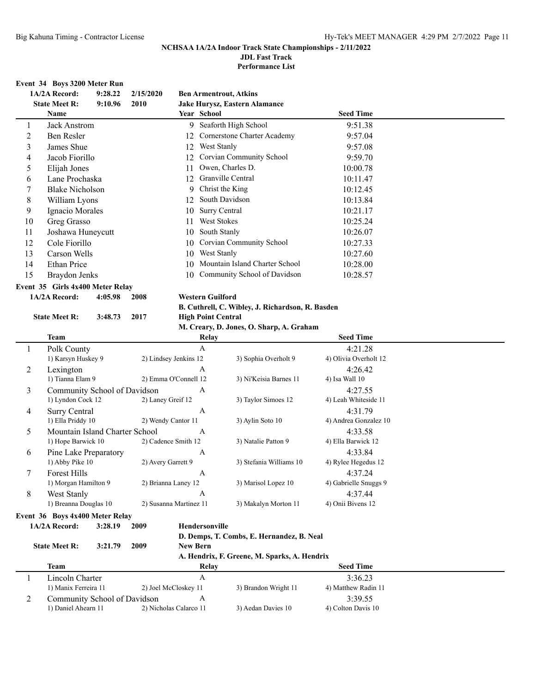**JDL Fast Track**

**Performance List**

#### **Event 34 Boys 3200 Meter Run**

|    | 1A/2A Record:          | 9:28.22 | 2/15/2020 |     | <b>Ben Armentrout, Atkins</b>  |                  |  |
|----|------------------------|---------|-----------|-----|--------------------------------|------------------|--|
|    | <b>State Meet R:</b>   | 9:10.96 | 2010      |     | Jake Hurysz, Eastern Alamance  |                  |  |
|    | Name                   |         |           |     | Year School                    | <b>Seed Time</b> |  |
|    | Jack Anstrom           |         |           |     | 9 Seaforth High School         | 9:51.38          |  |
| 2  | Ben Resler             |         |           | 12  | Cornerstone Charter Academy    | 9:57.04          |  |
| 3  | James Shue             |         |           | 12  | West Stanly                    | 9:57.08          |  |
| 4  | Jacob Fiorillo         |         |           | 12. | Corvian Community School       | 9:59.70          |  |
| 5. | Elijah Jones           |         |           |     | Owen, Charles D.               | 10:00.78         |  |
| 6  | Lane Prochaska         |         |           | 12  | Granville Central              | 10:11.47         |  |
|    | <b>Blake Nicholson</b> |         |           | 9   | Christ the King                | 10:12.45         |  |
| 8  | William Lyons          |         |           | 12  | South Davidson                 | 10:13.84         |  |
| 9  | Ignacio Morales        |         |           | 10  | Surry Central                  | 10:21.17         |  |
| 10 | Greg Grasso            |         |           |     | West Stokes                    | 10:25.24         |  |
| 11 | Joshawa Huneycutt      |         |           | 10  | South Stanly                   | 10:26.07         |  |
| 12 | Cole Fiorillo          |         |           | 10  | Corvian Community School       | 10:27.33         |  |
| 13 | Carson Wells           |         |           | 10  | West Stanly                    | 10:27.60         |  |
| 14 | Ethan Price            |         |           | 10  | Mountain Island Charter School | 10:28.00         |  |
| 15 | Braydon Jenks          |         |           | 10  | Community School of Davidson   | 10:28.57         |  |
|    |                        |         |           |     |                                |                  |  |

# **Event 35 Girls 4x400 Meter Relay**<br>1A/2A Record: 4:05.98 2

**State Meet R: 3:48.73 2017** 

**1A/2A Record: 4:05.98 2008 Western Guilford**

**B. Cuthrell, C. Wibley, J. Richardson, R. Basden**

| <b>High Point Central</b>         |  |  |  |
|-----------------------------------|--|--|--|
| M Creary D Jones O Sharn A Graham |  |  |  |

|   |                                 |                        | $\ldots$ created, by outcome of $\ldots$ |                       |  |
|---|---------------------------------|------------------------|------------------------------------------|-----------------------|--|
|   | Team                            | Relay                  |                                          | <b>Seed Time</b>      |  |
| 1 | Polk County                     | A                      |                                          | 4:21.28               |  |
|   | 1) Karsyn Huskey 9              | 2) Lindsey Jenkins 12  | 3) Sophia Overholt 9                     | 4) Olivia Overholt 12 |  |
| 2 | Lexington                       | A                      |                                          | 4:26.42               |  |
|   | 1) Tianna Elam 9                | 2) Emma O'Connell 12   | 3) Ni'Keisia Barnes 11                   | 4) Isa Wall 10        |  |
| 3 | Community School of Davidson    | A                      |                                          | 4:27.55               |  |
|   | 1) Lyndon Cock 12               | 2) Laney Greif 12      | 3) Taylor Simoes 12                      | 4) Leah Whiteside 11  |  |
| 4 | Surry Central                   | A                      |                                          | 4:31.79               |  |
|   | 1) Ella Priddy 10               | 2) Wendy Cantor 11     | 3) Aylin Soto 10                         | 4) Andrea Gonzalez 10 |  |
| 5 | Mountain Island Charter School  | A                      |                                          | 4:33.58               |  |
|   | 1) Hope Barwick 10              | 2) Cadence Smith 12    | 3) Natalie Patton 9                      | 4) Ella Barwick 12    |  |
| 6 | Pine Lake Preparatory           | $\mathbf{A}$           |                                          | 4:33.84               |  |
|   | 1) Abby Pike 10                 | 2) Avery Garrett 9     | 3) Stefania Williams 10                  | 4) Rylee Hegedus 12   |  |
| 7 | <b>Forest Hills</b>             | A                      |                                          | 4:37.24               |  |
|   | 1) Morgan Hamilton 9            | 2) Brianna Laney 12    | 3) Marisol Lopez 10                      | 4) Gabrielle Snuggs 9 |  |
| 8 | West Stanly                     | A                      |                                          | 4:37.44               |  |
|   | 1) Breanna Douglas 10           | 2) Susanna Martinez 11 | 3) Makalyn Morton 11                     | 4) Onii Bivens 12     |  |
|   | Event 36 Boys 4x400 Meter Relay |                        |                                          |                       |  |

**1A/2A Record: 3:28.19 2009 Hendersonville**

**D. Demps, T. Combs, E. Hernandez, B. Neal**

**State Meet R: 3:21.79 2009 New Bern**

#### **A. Hendrix, F. Greene, M. Sparks, A. Hendrix**

|   | Team                         | Relav                  |                      | <b>Seed Time</b>    |  |
|---|------------------------------|------------------------|----------------------|---------------------|--|
|   | Lincoln Charter              |                        |                      | 3:36.23             |  |
|   | 1) Manix Ferreira 11         | 2) Joel McCloskey 11   | 3) Brandon Wright 11 | 4) Matthew Radin 11 |  |
| ∽ | Community School of Davidson |                        |                      | 3:39.55             |  |
|   | 1) Daniel Ahearn 11          | 2) Nicholas Calarco 11 | 3) Aedan Davies 10   | 4) Colton Davis 10  |  |